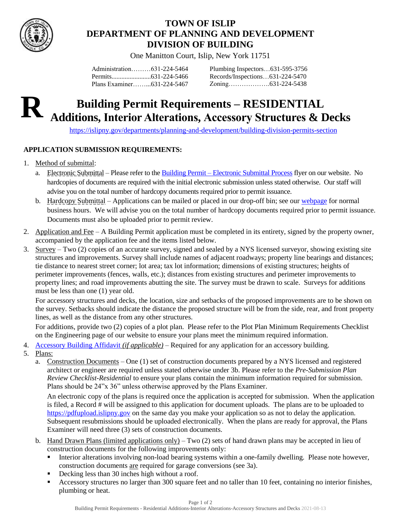

## **TOWN OF ISLIP DEPARTMENT OF PLANNING AND DEVELOPMENT DIVISION OF BUILDING**

One Manitton Court, Islip, New York 11751

Administration………631-224-5464 Permits........................631-224-5466 Plans Examiner……...631-224-5467 Plumbing Inspectors…631-595-3756 Records/Inspections…631-224-5470 Zoning……………….631-224-5438

# **Building Permit Requirements – RESIDENTIAL Additions, Interior Alterations, Accessory Structures & Decks R**

<https://islipny.gov/departments/planning-and-development/building-division-permits-section>

### **APPLICATION SUBMISSION REQUIREMENTS:**

- 1. Method of submittal:
	- a. Electronic Submittal Please refer to the Building Permit [Electronic Submittal Process](https://islipny.gov/building-division-permits-list/986-document-upload-instructions-for-electronic-submissions-building/file) flyer on our website. No hardcopies of documents are required with the initial electronic submission unless stated otherwise. Our staff will advise you on the total number of hardcopy documents required prior to permit issuance.
	- b. Hardcopy Submittal Applications can be mailed or placed in our drop-off bin; see our [webpage](https://islipny.gov/departments/planning-and-development/building-division-permits-section) for normal business hours. We will advise you on the total number of hardcopy documents required prior to permit issuance. Documents must also be uploaded prior to permit review.
- 2. Application and Fee A Building Permit application must be completed in its entirety, signed by the property owner, accompanied by the application fee and the items listed below.
- 3. Survey Two (2) copies of an accurate survey, signed and sealed by a NYS licensed surveyor, showing existing site structures and improvements. Survey shall include names of adjacent roadways; property line bearings and distances; tie distance to nearest street corner; lot area; tax lot information; dimensions of existing structures; heights of perimeter improvements (fences, walls, etc.); distances from existing structures and perimeter improvements to property lines; and road improvements abutting the site. The survey must be drawn to scale. Surveys for additions must be less than one (1) year old.

For accessory structures and decks, the location, size and setbacks of the proposed improvements are to be shown on the survey. Setbacks should indicate the distance the proposed structure will be from the side, rear, and front property lines, as well as the distance from any other structures.

For additions, provide two (2) copies of a plot plan. Please refer to the Plot Plan Minimum Requirements Checklist on the Engineering page of our website to ensure your plans meet the minimum required information.

- 4. [Accessory Building Affidavit](https://islipny.gov/building-division-permits-list/860-building-permit-accessory-building-affidavit/file) *(if applicable)* Required for any application for an accessory building.
- 5. Plans:
	- a. Construction Documents One (1) set of construction documents prepared by a NYS licensed and registered architect or engineer are required unless stated otherwise under 3b. Please refer to the *Pre-Submission Plan Review Checklist-Residential* to ensure your plans contain the minimum information required for submission. Plans should be 24"x 36" unless otherwise approved by the Plans Examiner.

An electronic copy of the plans is required once the application is accepted for submission. When the application is filed, a Record # will be assigned to this application for document uploads. The plans are to be uploaded to [https://pdfupload.islipny.gov](https://pdfupload.islipny.gov/) on the same day you make your application so as not to delay the application. Subsequent resubmissions should be uploaded electronically. When the plans are ready for approval, the Plans Examiner will need three (3) sets of construction documents.

- b. Hand Drawn Plans (limited applications only) Two (2) sets of hand drawn plans may be accepted in lieu of construction documents for the following improvements only:
	- Interior alterations involving non-load bearing systems within a one-family dwelling. Please note however, construction documents are required for garage conversions (see 3a).
	- Decking less than 30 inches high without a roof.
	- Accessory structures no larger than 300 square feet and no taller than 10 feet, containing no interior finishes, plumbing or heat.